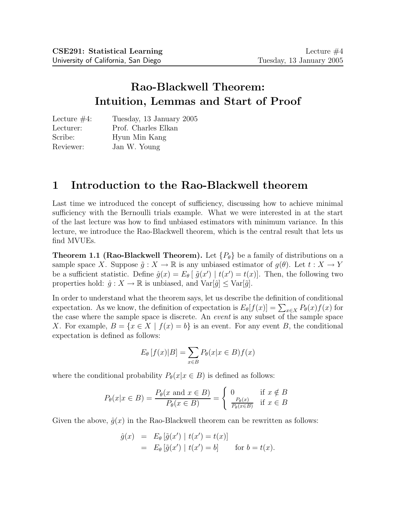# Rao-Blackwell Theorem: Intuition, Lemmas and Start of Proof

| Lecture $#4$ : | Tuesday, 13 January 2005 |
|----------------|--------------------------|
| Lecturer:      | Prof. Charles Elkan      |
| Scribe:        | Hyun Min Kang            |
| Reviewer:      | Jan W. Young             |

## 1 Introduction to the Rao-Blackwell theorem

Last time we introduced the concept of sufficiency, discussing how to achieve minimal sufficiency with the Bernoulli trials example. What we were interested in at the start of the last lecture was how to find unbiased estimators with minimum variance. In this lecture, we introduce the Rao-Blackwell theorem, which is the central result that lets us find MVUEs.

**Theorem 1.1 (Rao-Blackwell Theorem).** Let  $\{P_{\theta}\}\$  be a family of distributions on a sample space X. Suppose  $\tilde{g}: X \to \mathbb{R}$  is any unbiased estimator of  $g(\theta)$ . Let  $t: X \to Y$ be a sufficient statistic. Define  $\hat{g}(x) = E_{\theta} [\tilde{g}(x') | t(x') = t(x)]$ . Then, the following two properties hold:  $\hat{g}: X \to \mathbb{R}$  is unbiased, and  $\text{Var}[\hat{g}] \leq \text{Var}[\tilde{g}]$ .

In order to understand what the theorem says, let us describe the definition of conditional expectation. As we know, the definition of expectation is  $E_{\theta}[f(x)] = \sum_{x \in X} P_{\theta}(x) f(x)$  for the case where the sample space is discrete. An *event* is any subset of the sample space X. For example,  $B = \{x \in X \mid f(x) = b\}$  is an event. For any event B, the conditional expectation is defined as follows:

$$
E_{\theta}[f(x)|B] = \sum_{x \in B} P_{\theta}(x|x \in B)f(x)
$$

where the conditional probability  $P_{\theta}(x|x \in B)$  is defined as follows:

$$
P_{\theta}(x|x \in B) = \frac{P_{\theta}(x \text{ and } x \in B)}{P_{\theta}(x \in B)} = \begin{cases} 0 & \text{if } x \notin B \\ \frac{P_{\theta}(x)}{P_{\theta}(x \in B)} & \text{if } x \in B \end{cases}
$$

Given the above,  $\hat{q}(x)$  in the Rao-Blackwell theorem can be rewritten as follows:

$$
\begin{array}{rcl}\n\hat{g}(x) & = & E_{\theta} \left[ \tilde{g}(x') \mid t(x') = t(x) \right] \\
& = & E_{\theta} \left[ \tilde{g}(x') \mid t(x') = b \right] \qquad \text{for } b = t(x).\n\end{array}
$$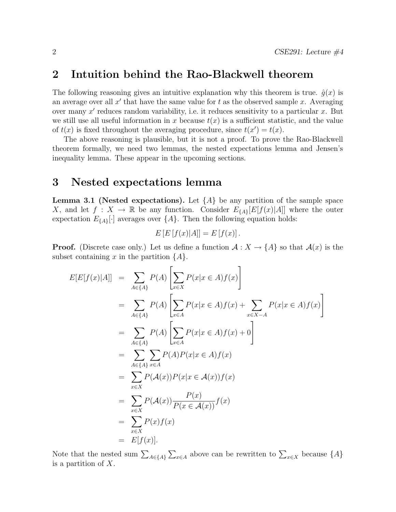#### 2 Intuition behind the Rao-Blackwell theorem

The following reasoning gives an intuitive explanation why this theorem is true.  $\hat{g}(x)$  is an average over all  $x'$  that have the same value for  $t$  as the observed sample  $x$ . Averaging over many  $x'$  reduces random variability, i.e. it reduces sensitivity to a particular  $x$ . But we still use all useful information in x because  $t(x)$  is a sufficient statistic, and the value of  $t(x)$  is fixed throughout the averaging procedure, since  $t(x') = t(x)$ .

The above reasoning is plausible, but it is not a proof. To prove the Rao-Blackwell theorem formally, we need two lemmas, the nested expectations lemma and Jensen's inequality lemma. These appear in the upcoming sections.

#### 3 Nested expectations lemma

**Lemma 3.1 (Nested expectations).** Let  $\{A\}$  be any partition of the sample space X, and let  $f: X \to \mathbb{R}$  be any function. Consider  $E_{\{A\}}[E[f(x)|A]]$  where the outer expectation  $E_{\{A\}}[\cdot]$  averages over  $\{A\}$ . Then the following equation holds:

$$
E\left[E\left[f(x)|A\right]\right] = E\left[f(x)\right].
$$

**Proof.** (Discrete case only.) Let us define a function  $A: X \to \{A\}$  so that  $A(x)$  is the subset containing x in the partition  ${A}.$ 

$$
E[E[f(x)|A]] = \sum_{A \in \{A\}} P(A) \left[ \sum_{x \in X} P(x|x \in A) f(x) \right]
$$
  
\n
$$
= \sum_{A \in \{A\}} P(A) \left[ \sum_{x \in A} P(x|x \in A) f(x) + \sum_{x \in X-A} P(x|x \in A) f(x) \right]
$$
  
\n
$$
= \sum_{A \in \{A\}} P(A) \left[ \sum_{x \in A} P(x|x \in A) f(x) + 0 \right]
$$
  
\n
$$
= \sum_{A \in \{A\}} \sum_{x \in A} P(A) P(x|x \in A) f(x)
$$
  
\n
$$
= \sum_{x \in X} P(A(x)) P(x|x \in A(x)) f(x)
$$
  
\n
$$
= \sum_{x \in X} P(A(x)) \frac{P(x)}{P(x \in A(x))} f(x)
$$
  
\n
$$
= \sum_{x \in X} P(x) f(x)
$$
  
\n
$$
= E[f(x)].
$$

Note that the nested sum  $\sum_{A\in\{A\}}\sum_{x\in A}$  above can be rewritten to  $\sum_{x\in X}$  because  $\{A\}$ is a partition of X.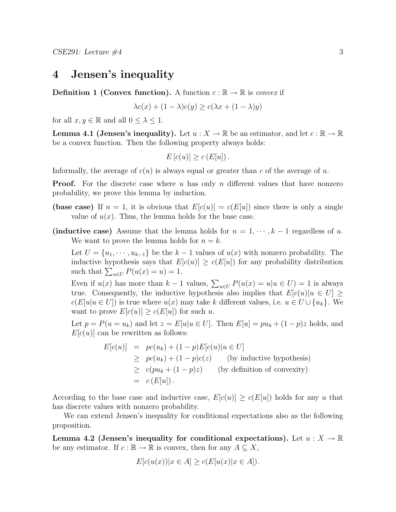### 4 Jensen's inequality

**Definition 1 (Convex function).** A function  $c : \mathbb{R} \to \mathbb{R}$  is convex if

$$
\lambda c(x) + (1 - \lambda)c(y) \ge c(\lambda x + (1 - \lambda)y)
$$

for all  $x, y \in \mathbb{R}$  and all  $0 \leq \lambda \leq 1$ .

**Lemma 4.1 (Jensen's inequality).** Let  $u: X \to \mathbb{R}$  be an estimator, and let  $c: \mathbb{R} \to \mathbb{R}$ be a convex function. Then the following property always holds:

$$
E[c(u)] \ge c(E[u]).
$$

Informally, the average of  $c(u)$  is always equal or greater than c of the average of u.

**Proof.** For the discrete case where u has only n different values that have nonzero probability, we prove this lemma by induction.

- (base case) If  $n = 1$ , it is obvious that  $E[c(u)] = c(E[u])$  since there is only a single value of  $u(x)$ . Thus, the lemma holds for the base case.
- (inductive case) Assume that the lemma holds for  $n = 1, \dots, k-1$  regardless of u. We want to prove the lemma holds for  $n = k$ .

Let  $U = \{u_1, \dots, u_{k-1}\}\$ be the  $k-1$  values of  $u(x)$  with nonzero probability. The inductive hypothesis says that  $E[c(u)] \ge c(E[u])$  for any probability distribution such that  $\sum_{u \in U} P(u(x) = u) = 1$ .

Even if  $u(x)$  has more than  $k-1$  values,  $\sum_{u \in U} P(u(x) = u | u \in U) = 1$  is always true. Consequently, the inductive hypothesis also implies that  $E[c(u)]u \in U] \geq$  $c(E[u]u \in U]$  is true where  $u(x)$  may take k different values, i.e.  $u \in U \cup \{u_k\}$ . We want to prove  $E[c(u)] \ge c(E[u])$  for such u.

Let  $p = P(u = u_k)$  and let  $z = E[u]u \in U$ . Then  $E[u] = pu_k + (1 - p)z$  holds, and  $E[c(u)]$  can be rewritten as follows:

$$
E[c(u)] = pc(u_k) + (1-p)E[c(u)|u \in U]
$$
  
\n
$$
\geq pc(u_k) + (1-p)c(z)
$$
 (by inductive hypothesis)  
\n
$$
\geq c(pu_k + (1-p)z)
$$
 (by definition of convexity)  
\n
$$
= c(E[u]).
$$

According to the base case and inductive case,  $E[c(u)] \ge c(E[u])$  holds for any u that has discrete values with nonzero probability.

We can extend Jensen's inequality for conditional expectations also as the following proposition.

Lemma 4.2 (Jensen's inequality for conditional expectations). Let  $u: X \to \mathbb{R}$ be any estimator. If  $c : \mathbb{R} \to \mathbb{R}$  is convex, then for any  $A \subseteq X$ ,

$$
E[c(u(x))|x \in A] \ge c(E[u(x)|x \in A]).
$$